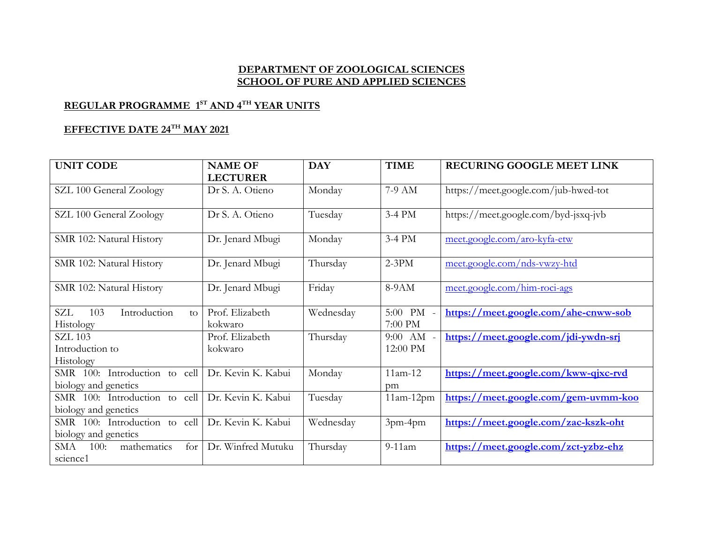## **DEPARTMENT OF ZOOLOGICAL SCIENCES SCHOOL OF PURE AND APPLIED SCIENCES**

## **REGULAR PROGRAMME 1 ST AND 4TH YEAR UNITS**

## **EFFECTIVE DATE 24TH MAY 2021**

| <b>UNIT CODE</b>                           | <b>NAME OF</b><br><b>LECTURER</b> | <b>DAY</b> | <b>TIME</b> | RECURING GOOGLE MEET LINK            |
|--------------------------------------------|-----------------------------------|------------|-------------|--------------------------------------|
| SZL 100 General Zoology                    | Dr S. A. Otieno                   | Monday     | 7-9 AM      | https://meet.google.com/jub-hwed-tot |
| SZL 100 General Zoology                    | Dr S. A. Otieno                   | Tuesday    | 3-4 PM      | https://meet.google.com/byd-jsxq-jvb |
| SMR 102: Natural History                   | Dr. Jenard Mbugi                  | Monday     | 3-4 PM      | meet.google.com/aro-kyfa-etw         |
| SMR 102: Natural History                   | Dr. Jenard Mbugi                  | Thursday   | $2-3PM$     | meet.google.com/nds-vwzy-htd         |
| SMR 102: Natural History                   | Dr. Jenard Mbugi                  | Friday     | 8-9AM       | meet.google.com/him-roci-ags         |
| Introduction<br>SZL<br>103<br>$f_{\Omega}$ | Prof. Elizabeth                   | Wednesday  | 5:00 PM -   | https://meet.google.com/ahe-cnww-sob |
| Histology                                  | kokwaro                           |            | 7:00 PM     |                                      |
| <b>SZL 103</b>                             | Prof. Elizabeth                   | Thursday   | 9:00 AM     | https://meet.google.com/jdi-ywdn-srj |
| Introduction to                            | kokwaro                           |            | 12:00 PM    |                                      |
| <b>Histology</b>                           |                                   |            |             |                                      |
| SMR 100: Introduction to<br>cell           | Dr. Kevin K. Kabui                | Monday     | $11am-12$   | https://meet.google.com/kww-qjxc-rvd |
| biology and genetics                       |                                   |            | pm          |                                      |
| SMR 100: Introduction to<br>cell           | Dr. Kevin K. Kabui                | Tuesday    | $11am-12pm$ | https://meet.google.com/gem-uvmm-koo |
| biology and genetics                       |                                   |            |             |                                      |
| SMR 100: Introduction to<br>cell           | Dr. Kevin K. Kabui                | Wednesday  | 3pm-4pm     | https://meet.google.com/zac-kszk-oht |
| biology and genetics                       |                                   |            |             |                                      |
| mathematics<br>100:<br>for<br>SMA          | Dr. Winfred Mutuku                | Thursday   | $9-11$ am   | https://meet.google.com/zct-yzbz-ehz |
| science1                                   |                                   |            |             |                                      |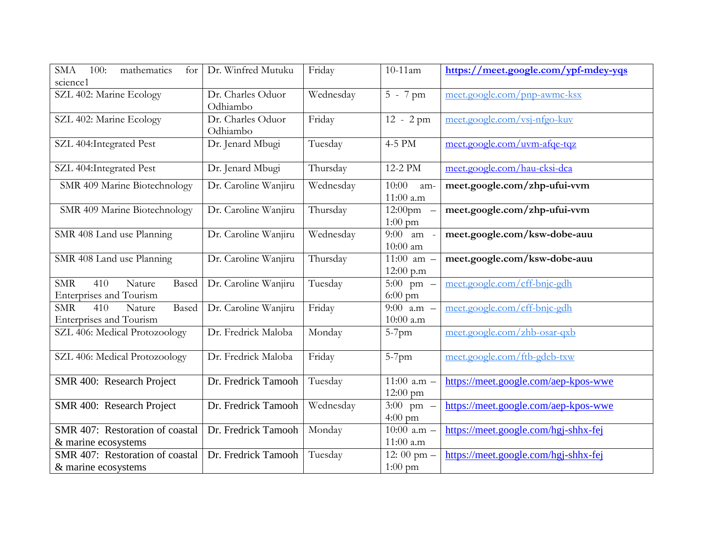| mathematics<br><b>SMA</b><br>100:<br>for | Dr. Winfred Mutuku   | Friday    | $10-11$ am               | https://meet.google.com/ypf-mdey-yqs |
|------------------------------------------|----------------------|-----------|--------------------------|--------------------------------------|
| science1                                 |                      |           |                          |                                      |
| SZL 402: Marine Ecology                  | Dr. Charles Oduor    | Wednesday | $5 - 7$ pm               | meet.google.com/pnp-awmc-ksx         |
|                                          | Odhiambo             |           |                          |                                      |
| SZL 402: Marine Ecology                  | Dr. Charles Oduor    | Friday    | $\overline{1}2 - 2$ pm   | meet.google.com/vsj-nfgo-kuv         |
|                                          | Odhiambo             |           |                          |                                      |
| SZL 404: Integrated Pest                 | Dr. Jenard Mbugi     | Tuesday   | 4-5 PM                   | meet.google.com/uvm-afqe-tqz         |
|                                          |                      |           |                          |                                      |
| SZL 404: Integrated Pest                 | Dr. Jenard Mbugi     | Thursday  | 12-2 PM                  | meet.google.com/hau-cksi-dca         |
| SMR 409 Marine Biotechnology             | Dr. Caroline Wanjiru | Wednesday | 10:00<br>am-             | meet.google.com/zhp-ufui-vvm         |
|                                          |                      |           | 11:00 a.m                |                                      |
| SMR 409 Marine Biotechnology             | Dr. Caroline Wanjiru | Thursday  | $12:00 \text{pm}$ -      | meet.google.com/zhp-ufui-vvm         |
|                                          |                      |           | $1:00$ pm                |                                      |
| SMR 408 Land use Planning                | Dr. Caroline Wanjiru | Wednesday | 9:00<br>am -             | meet.google.com/ksw-dobe-auu         |
|                                          |                      |           | 10:00 am                 |                                      |
| SMR 408 Land use Planning                | Dr. Caroline Wanjiru |           | 11:00 am $-$             |                                      |
|                                          |                      | Thursday  |                          | meet.google.com/ksw-dobe-auu         |
|                                          |                      |           | 12:00 p.m                |                                      |
| ${\rm SMR}$<br>Nature<br>410<br>Based    | Dr. Caroline Wanjiru | Tuesday   | 5:00 pm $-$              | meet.google.com/cff-bnjc-gdh         |
| <b>Enterprises and Tourism</b>           |                      |           | $6:00$ pm                |                                      |
| <b>SMR</b><br>Based<br>410<br>Nature     | Dr. Caroline Wanjiru | Friday    | 9:00 $a.m -$             | meet.google.com/cff-bnjc-gdh         |
| Enterprises and Tourism                  |                      |           | $10:00$ a.m              |                                      |
| SZL 406: Medical Protozoology            | Dr. Fredrick Maloba  | Monday    | $5-7$ pm                 | meet.google.com/zhb-osar-qxb         |
|                                          |                      |           |                          |                                      |
| SZL 406: Medical Protozoology            | Dr. Fredrick Maloba  | Friday    | $5-7$ pm                 | meet.google.com/ftb-gdeb-txw         |
|                                          |                      |           |                          |                                      |
| SMR 400: Research Project                | Dr. Fredrick Tamooh  | Tuesday   | $\overline{11:}00$ a.m - | https://meet.google.com/aep-kpos-wwe |
|                                          |                      |           | 12:00 pm                 |                                      |
| SMR 400: Research Project                | Dr. Fredrick Tamooh  | Wednesday | $3:00$ pm -              | https://meet.google.com/aep-kpos-wwe |
|                                          |                      |           | 4:00 pm                  |                                      |
| SMR 407: Restoration of coastal          | Dr. Fredrick Tamooh  | Monday    | 10:00 a.m $-$            | https://meet.google.com/hgj-shhx-fej |
| & marine ecosystems                      |                      |           | 11:00 a.m                |                                      |
| SMR 407: Restoration of coastal          | Dr. Fredrick Tamooh  | Tuesday   | 12: 00 pm $-$            | https://meet.google.com/hgj-shhx-fej |
| & marine ecosystems                      |                      |           | $1:00 \text{ pm}$        |                                      |
|                                          |                      |           |                          |                                      |